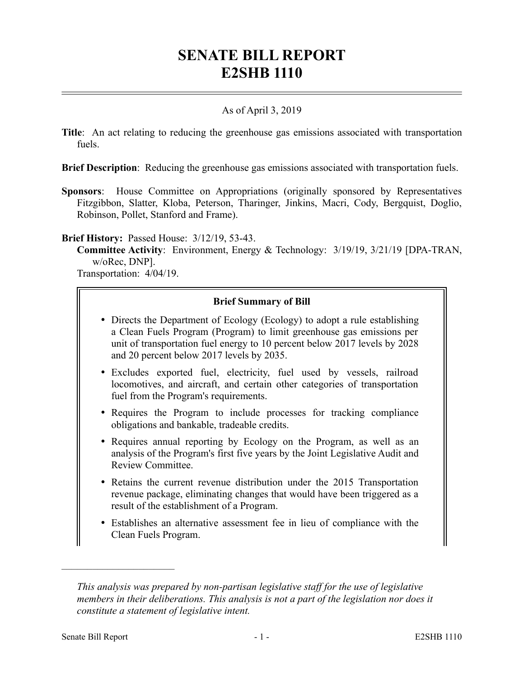# **SENATE BILL REPORT E2SHB 1110**

## As of April 3, 2019

**Title**: An act relating to reducing the greenhouse gas emissions associated with transportation fuels.

**Brief Description**: Reducing the greenhouse gas emissions associated with transportation fuels.

**Sponsors**: House Committee on Appropriations (originally sponsored by Representatives Fitzgibbon, Slatter, Kloba, Peterson, Tharinger, Jinkins, Macri, Cody, Bergquist, Doglio, Robinson, Pollet, Stanford and Frame).

**Brief History:** Passed House: 3/12/19, 53-43.

**Committee Activity**: Environment, Energy & Technology: 3/19/19, 3/21/19 [DPA-TRAN, w/oRec, DNP].

Transportation: 4/04/19.

## **Brief Summary of Bill**

- Directs the Department of Ecology (Ecology) to adopt a rule establishing a Clean Fuels Program (Program) to limit greenhouse gas emissions per unit of transportation fuel energy to 10 percent below 2017 levels by 2028 and 20 percent below 2017 levels by 2035.
- Excludes exported fuel, electricity, fuel used by vessels, railroad locomotives, and aircraft, and certain other categories of transportation fuel from the Program's requirements.
- Requires the Program to include processes for tracking compliance obligations and bankable, tradeable credits.
- Requires annual reporting by Ecology on the Program, as well as an analysis of the Program's first five years by the Joint Legislative Audit and Review Committee.
- Retains the current revenue distribution under the 2015 Transportation revenue package, eliminating changes that would have been triggered as a result of the establishment of a Program.
- Establishes an alternative assessment fee in lieu of compliance with the Clean Fuels Program.

––––––––––––––––––––––

*This analysis was prepared by non-partisan legislative staff for the use of legislative members in their deliberations. This analysis is not a part of the legislation nor does it constitute a statement of legislative intent.*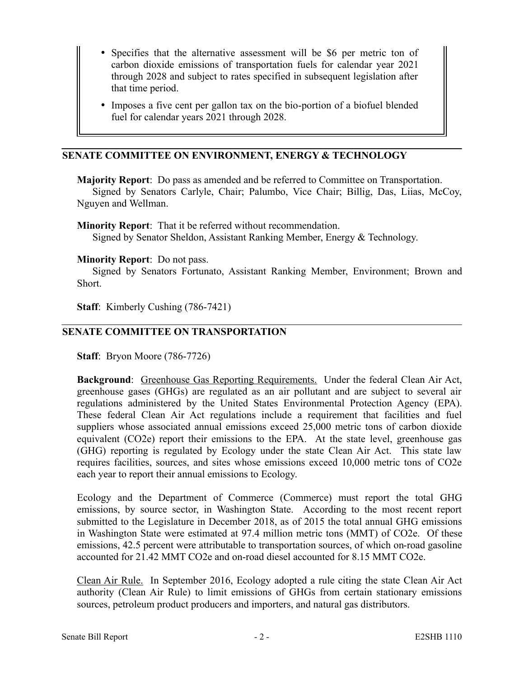- Specifies that the alternative assessment will be \$6 per metric ton of carbon dioxide emissions of transportation fuels for calendar year 2021 through 2028 and subject to rates specified in subsequent legislation after that time period.
- Imposes a five cent per gallon tax on the bio-portion of a biofuel blended fuel for calendar years 2021 through 2028.

## **SENATE COMMITTEE ON ENVIRONMENT, ENERGY & TECHNOLOGY**

**Majority Report**: Do pass as amended and be referred to Committee on Transportation. Signed by Senators Carlyle, Chair; Palumbo, Vice Chair; Billig, Das, Liias, McCoy, Nguyen and Wellman.

**Minority Report**: That it be referred without recommendation. Signed by Senator Sheldon, Assistant Ranking Member, Energy & Technology.

#### **Minority Report**: Do not pass.

Signed by Senators Fortunato, Assistant Ranking Member, Environment; Brown and Short.

**Staff**: Kimberly Cushing (786-7421)

#### **SENATE COMMITTEE ON TRANSPORTATION**

**Staff**: Bryon Moore (786-7726)

**Background**: Greenhouse Gas Reporting Requirements. Under the federal Clean Air Act, greenhouse gases (GHGs) are regulated as an air pollutant and are subject to several air regulations administered by the United States Environmental Protection Agency (EPA). These federal Clean Air Act regulations include a requirement that facilities and fuel suppliers whose associated annual emissions exceed 25,000 metric tons of carbon dioxide equivalent (CO2e) report their emissions to the EPA. At the state level, greenhouse gas (GHG) reporting is regulated by Ecology under the state Clean Air Act. This state law requires facilities, sources, and sites whose emissions exceed 10,000 metric tons of CO2e each year to report their annual emissions to Ecology.

Ecology and the Department of Commerce (Commerce) must report the total GHG emissions, by source sector, in Washington State. According to the most recent report submitted to the Legislature in December 2018, as of 2015 the total annual GHG emissions in Washington State were estimated at 97.4 million metric tons (MMT) of CO2e. Of these emissions, 42.5 percent were attributable to transportation sources, of which on-road gasoline accounted for 21.42 MMT CO2e and on-road diesel accounted for 8.15 MMT CO2e.

Clean Air Rule. In September 2016, Ecology adopted a rule citing the state Clean Air Act authority (Clean Air Rule) to limit emissions of GHGs from certain stationary emissions sources, petroleum product producers and importers, and natural gas distributors.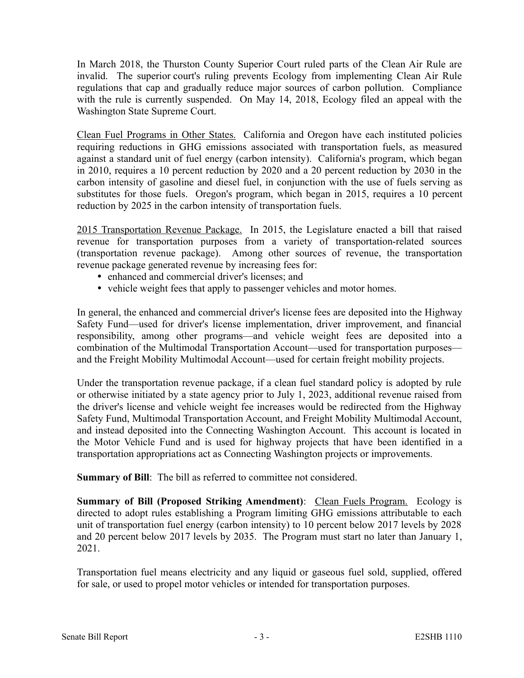In March 2018, the Thurston County Superior Court ruled parts of the Clean Air Rule are invalid. The superior court's ruling prevents Ecology from implementing Clean Air Rule regulations that cap and gradually reduce major sources of carbon pollution. Compliance with the rule is currently suspended. On May 14, 2018, Ecology filed an appeal with the Washington State Supreme Court.

Clean Fuel Programs in Other States. California and Oregon have each instituted policies requiring reductions in GHG emissions associated with transportation fuels, as measured against a standard unit of fuel energy (carbon intensity). California's program, which began in 2010, requires a 10 percent reduction by 2020 and a 20 percent reduction by 2030 in the carbon intensity of gasoline and diesel fuel, in conjunction with the use of fuels serving as substitutes for those fuels. Oregon's program, which began in 2015, requires a 10 percent reduction by 2025 in the carbon intensity of transportation fuels.

2015 Transportation Revenue Package. In 2015, the Legislature enacted a bill that raised revenue for transportation purposes from a variety of transportation-related sources (transportation revenue package). Among other sources of revenue, the transportation revenue package generated revenue by increasing fees for:

- enhanced and commercial driver's licenses; and
- vehicle weight fees that apply to passenger vehicles and motor homes.

In general, the enhanced and commercial driver's license fees are deposited into the Highway Safety Fund—used for driver's license implementation, driver improvement, and financial responsibility, among other programs—and vehicle weight fees are deposited into a combination of the Multimodal Transportation Account—used for transportation purposes and the Freight Mobility Multimodal Account—used for certain freight mobility projects.

Under the transportation revenue package, if a clean fuel standard policy is adopted by rule or otherwise initiated by a state agency prior to July 1, 2023, additional revenue raised from the driver's license and vehicle weight fee increases would be redirected from the Highway Safety Fund, Multimodal Transportation Account, and Freight Mobility Multimodal Account, and instead deposited into the Connecting Washington Account. This account is located in the Motor Vehicle Fund and is used for highway projects that have been identified in a transportation appropriations act as Connecting Washington projects or improvements.

**Summary of Bill**: The bill as referred to committee not considered.

**Summary of Bill (Proposed Striking Amendment): Clean Fuels Program.** Ecology is directed to adopt rules establishing a Program limiting GHG emissions attributable to each unit of transportation fuel energy (carbon intensity) to 10 percent below 2017 levels by 2028 and 20 percent below 2017 levels by 2035. The Program must start no later than January 1, 2021.

Transportation fuel means electricity and any liquid or gaseous fuel sold, supplied, offered for sale, or used to propel motor vehicles or intended for transportation purposes.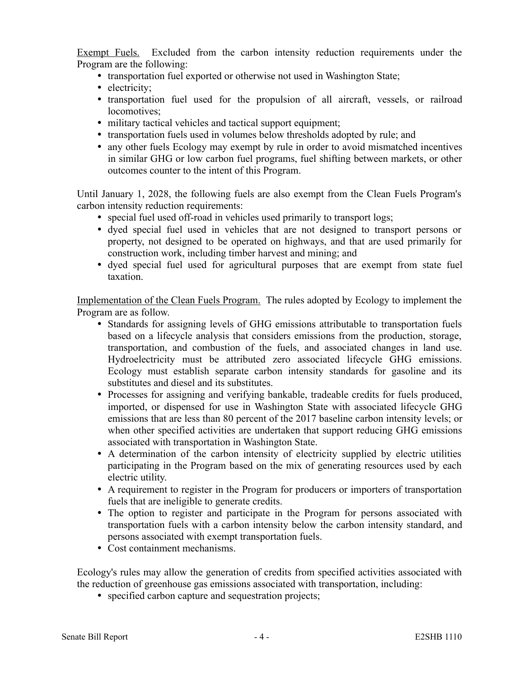Exempt Fuels. Excluded from the carbon intensity reduction requirements under the Program are the following:

- transportation fuel exported or otherwise not used in Washington State;
- electricity;
- transportation fuel used for the propulsion of all aircraft, vessels, or railroad locomotives;
- military tactical vehicles and tactical support equipment;
- transportation fuels used in volumes below thresholds adopted by rule; and
- any other fuels Ecology may exempt by rule in order to avoid mismatched incentives in similar GHG or low carbon fuel programs, fuel shifting between markets, or other outcomes counter to the intent of this Program.

Until January 1, 2028, the following fuels are also exempt from the Clean Fuels Program's carbon intensity reduction requirements:

- special fuel used off-road in vehicles used primarily to transport logs;
- dyed special fuel used in vehicles that are not designed to transport persons or property, not designed to be operated on highways, and that are used primarily for construction work, including timber harvest and mining; and
- dyed special fuel used for agricultural purposes that are exempt from state fuel taxation.

Implementation of the Clean Fuels Program. The rules adopted by Ecology to implement the Program are as follow.

- Standards for assigning levels of GHG emissions attributable to transportation fuels based on a lifecycle analysis that considers emissions from the production, storage, transportation, and combustion of the fuels, and associated changes in land use. Hydroelectricity must be attributed zero associated lifecycle GHG emissions. Ecology must establish separate carbon intensity standards for gasoline and its substitutes and diesel and its substitutes.
- Processes for assigning and verifying bankable, tradeable credits for fuels produced, imported, or dispensed for use in Washington State with associated lifecycle GHG emissions that are less than 80 percent of the 2017 baseline carbon intensity levels; or when other specified activities are undertaken that support reducing GHG emissions associated with transportation in Washington State.
- A determination of the carbon intensity of electricity supplied by electric utilities participating in the Program based on the mix of generating resources used by each electric utility.
- A requirement to register in the Program for producers or importers of transportation fuels that are ineligible to generate credits.
- The option to register and participate in the Program for persons associated with transportation fuels with a carbon intensity below the carbon intensity standard, and persons associated with exempt transportation fuels.
- Cost containment mechanisms.

Ecology's rules may allow the generation of credits from specified activities associated with the reduction of greenhouse gas emissions associated with transportation, including:

• specified carbon capture and sequestration projects;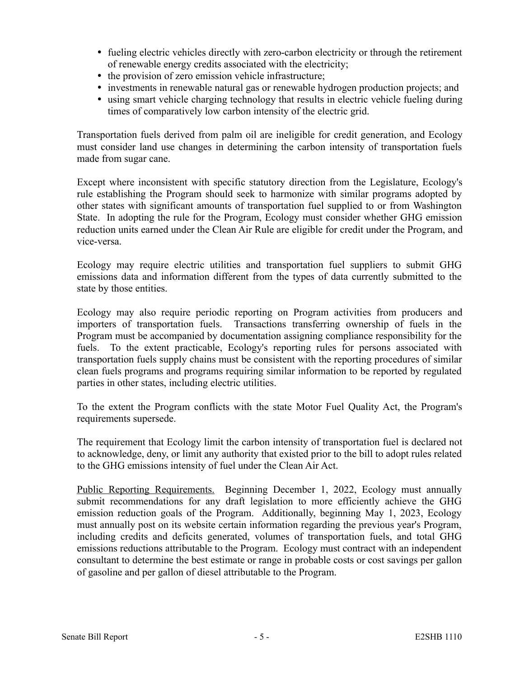- fueling electric vehicles directly with zero-carbon electricity or through the retirement of renewable energy credits associated with the electricity;
- the provision of zero emission vehicle infrastructure;
- investments in renewable natural gas or renewable hydrogen production projects; and
- using smart vehicle charging technology that results in electric vehicle fueling during times of comparatively low carbon intensity of the electric grid.

Transportation fuels derived from palm oil are ineligible for credit generation, and Ecology must consider land use changes in determining the carbon intensity of transportation fuels made from sugar cane.

Except where inconsistent with specific statutory direction from the Legislature, Ecology's rule establishing the Program should seek to harmonize with similar programs adopted by other states with significant amounts of transportation fuel supplied to or from Washington State. In adopting the rule for the Program, Ecology must consider whether GHG emission reduction units earned under the Clean Air Rule are eligible for credit under the Program, and vice-versa.

Ecology may require electric utilities and transportation fuel suppliers to submit GHG emissions data and information different from the types of data currently submitted to the state by those entities.

Ecology may also require periodic reporting on Program activities from producers and importers of transportation fuels. Transactions transferring ownership of fuels in the Program must be accompanied by documentation assigning compliance responsibility for the fuels. To the extent practicable, Ecology's reporting rules for persons associated with transportation fuels supply chains must be consistent with the reporting procedures of similar clean fuels programs and programs requiring similar information to be reported by regulated parties in other states, including electric utilities.

To the extent the Program conflicts with the state Motor Fuel Quality Act, the Program's requirements supersede.

The requirement that Ecology limit the carbon intensity of transportation fuel is declared not to acknowledge, deny, or limit any authority that existed prior to the bill to adopt rules related to the GHG emissions intensity of fuel under the Clean Air Act.

Public Reporting Requirements. Beginning December 1, 2022, Ecology must annually submit recommendations for any draft legislation to more efficiently achieve the GHG emission reduction goals of the Program. Additionally, beginning May 1, 2023, Ecology must annually post on its website certain information regarding the previous year's Program, including credits and deficits generated, volumes of transportation fuels, and total GHG emissions reductions attributable to the Program. Ecology must contract with an independent consultant to determine the best estimate or range in probable costs or cost savings per gallon of gasoline and per gallon of diesel attributable to the Program.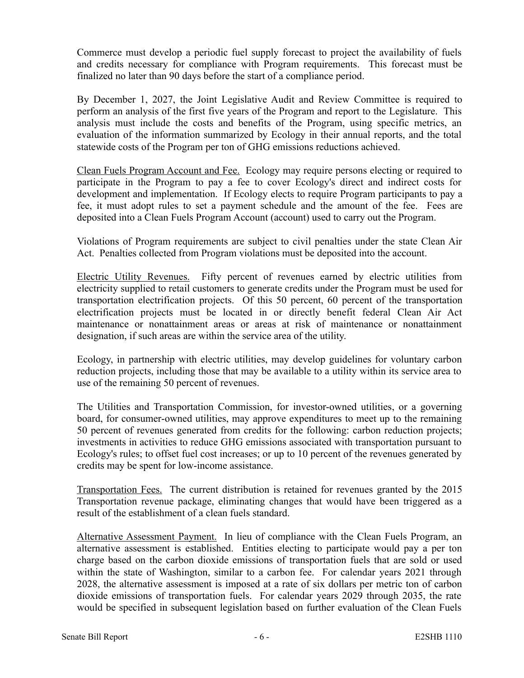Commerce must develop a periodic fuel supply forecast to project the availability of fuels and credits necessary for compliance with Program requirements. This forecast must be finalized no later than 90 days before the start of a compliance period.

By December 1, 2027, the Joint Legislative Audit and Review Committee is required to perform an analysis of the first five years of the Program and report to the Legislature. This analysis must include the costs and benefits of the Program, using specific metrics, an evaluation of the information summarized by Ecology in their annual reports, and the total statewide costs of the Program per ton of GHG emissions reductions achieved.

Clean Fuels Program Account and Fee. Ecology may require persons electing or required to participate in the Program to pay a fee to cover Ecology's direct and indirect costs for development and implementation. If Ecology elects to require Program participants to pay a fee, it must adopt rules to set a payment schedule and the amount of the fee. Fees are deposited into a Clean Fuels Program Account (account) used to carry out the Program.

Violations of Program requirements are subject to civil penalties under the state Clean Air Act. Penalties collected from Program violations must be deposited into the account.

Electric Utility Revenues. Fifty percent of revenues earned by electric utilities from electricity supplied to retail customers to generate credits under the Program must be used for transportation electrification projects. Of this 50 percent, 60 percent of the transportation electrification projects must be located in or directly benefit federal Clean Air Act maintenance or nonattainment areas or areas at risk of maintenance or nonattainment designation, if such areas are within the service area of the utility.

Ecology, in partnership with electric utilities, may develop guidelines for voluntary carbon reduction projects, including those that may be available to a utility within its service area to use of the remaining 50 percent of revenues.

The Utilities and Transportation Commission, for investor-owned utilities, or a governing board, for consumer-owned utilities, may approve expenditures to meet up to the remaining 50 percent of revenues generated from credits for the following: carbon reduction projects; investments in activities to reduce GHG emissions associated with transportation pursuant to Ecology's rules; to offset fuel cost increases; or up to 10 percent of the revenues generated by credits may be spent for low-income assistance.

Transportation Fees. The current distribution is retained for revenues granted by the 2015 Transportation revenue package, eliminating changes that would have been triggered as a result of the establishment of a clean fuels standard.

Alternative Assessment Payment. In lieu of compliance with the Clean Fuels Program, an alternative assessment is established. Entities electing to participate would pay a per ton charge based on the carbon dioxide emissions of transportation fuels that are sold or used within the state of Washington, similar to a carbon fee. For calendar years 2021 through 2028, the alternative assessment is imposed at a rate of six dollars per metric ton of carbon dioxide emissions of transportation fuels. For calendar years 2029 through 2035, the rate would be specified in subsequent legislation based on further evaluation of the Clean Fuels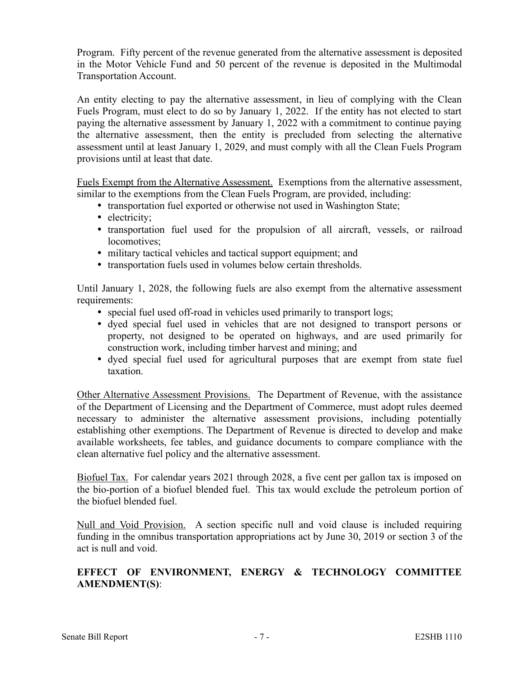Program. Fifty percent of the revenue generated from the alternative assessment is deposited in the Motor Vehicle Fund and 50 percent of the revenue is deposited in the Multimodal Transportation Account.

An entity electing to pay the alternative assessment, in lieu of complying with the Clean Fuels Program, must elect to do so by January 1, 2022. If the entity has not elected to start paying the alternative assessment by January 1, 2022 with a commitment to continue paying the alternative assessment, then the entity is precluded from selecting the alternative assessment until at least January 1, 2029, and must comply with all the Clean Fuels Program provisions until at least that date.

Fuels Exempt from the Alternative Assessment. Exemptions from the alternative assessment, similar to the exemptions from the Clean Fuels Program, are provided, including:

- transportation fuel exported or otherwise not used in Washington State;
- electricity;
- transportation fuel used for the propulsion of all aircraft, vessels, or railroad locomotives;
- military tactical vehicles and tactical support equipment; and
- transportation fuels used in volumes below certain thresholds.

Until January 1, 2028, the following fuels are also exempt from the alternative assessment requirements:

- special fuel used off-road in vehicles used primarily to transport logs;
- dyed special fuel used in vehicles that are not designed to transport persons or property, not designed to be operated on highways, and are used primarily for construction work, including timber harvest and mining; and
- dyed special fuel used for agricultural purposes that are exempt from state fuel taxation.

Other Alternative Assessment Provisions. The Department of Revenue, with the assistance of the Department of Licensing and the Department of Commerce, must adopt rules deemed necessary to administer the alternative assessment provisions, including potentially establishing other exemptions. The Department of Revenue is directed to develop and make available worksheets, fee tables, and guidance documents to compare compliance with the clean alternative fuel policy and the alternative assessment.

Biofuel Tax. For calendar years 2021 through 2028, a five cent per gallon tax is imposed on the bio-portion of a biofuel blended fuel. This tax would exclude the petroleum portion of the biofuel blended fuel.

Null and Void Provision. A section specific null and void clause is included requiring funding in the omnibus transportation appropriations act by June 30, 2019 or section 3 of the act is null and void.

## **EFFECT OF ENVIRONMENT, ENERGY & TECHNOLOGY COMMITTEE AMENDMENT(S)**: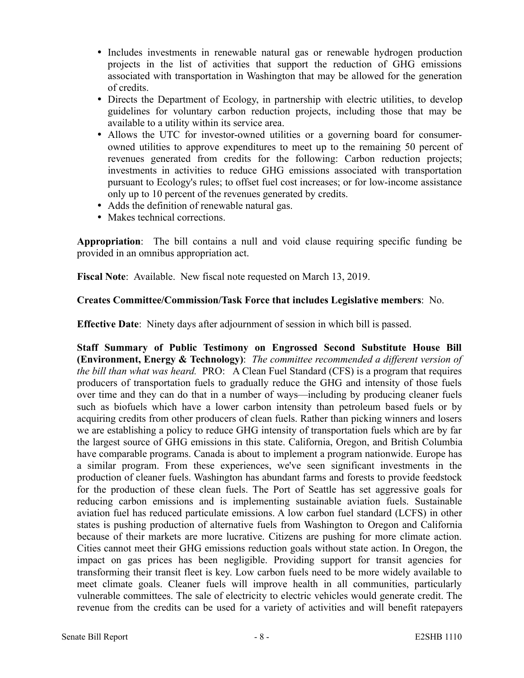- Includes investments in renewable natural gas or renewable hydrogen production projects in the list of activities that support the reduction of GHG emissions associated with transportation in Washington that may be allowed for the generation of credits.
- Directs the Department of Ecology, in partnership with electric utilities, to develop guidelines for voluntary carbon reduction projects, including those that may be available to a utility within its service area.
- Allows the UTC for investor-owned utilities or a governing board for consumerowned utilities to approve expenditures to meet up to the remaining 50 percent of revenues generated from credits for the following: Carbon reduction projects; investments in activities to reduce GHG emissions associated with transportation pursuant to Ecology's rules; to offset fuel cost increases; or for low-income assistance only up to 10 percent of the revenues generated by credits.
- Adds the definition of renewable natural gas.
- Makes technical corrections.

**Appropriation**: The bill contains a null and void clause requiring specific funding be provided in an omnibus appropriation act.

**Fiscal Note**: Available. New fiscal note requested on March 13, 2019.

#### **Creates Committee/Commission/Task Force that includes Legislative members**: No.

**Effective Date**: Ninety days after adjournment of session in which bill is passed.

**Staff Summary of Public Testimony on Engrossed Second Substitute House Bill (Environment, Energy & Technology)**: *The committee recommended a different version of the bill than what was heard.* PRO: A Clean Fuel Standard (CFS) is a program that requires producers of transportation fuels to gradually reduce the GHG and intensity of those fuels over time and they can do that in a number of ways—including by producing cleaner fuels such as biofuels which have a lower carbon intensity than petroleum based fuels or by acquiring credits from other producers of clean fuels. Rather than picking winners and losers we are establishing a policy to reduce GHG intensity of transportation fuels which are by far the largest source of GHG emissions in this state. California, Oregon, and British Columbia have comparable programs. Canada is about to implement a program nationwide. Europe has a similar program. From these experiences, we've seen significant investments in the production of cleaner fuels. Washington has abundant farms and forests to provide feedstock for the production of these clean fuels. The Port of Seattle has set aggressive goals for reducing carbon emissions and is implementing sustainable aviation fuels. Sustainable aviation fuel has reduced particulate emissions. A low carbon fuel standard (LCFS) in other states is pushing production of alternative fuels from Washington to Oregon and California because of their markets are more lucrative. Citizens are pushing for more climate action. Cities cannot meet their GHG emissions reduction goals without state action. In Oregon, the impact on gas prices has been negligible. Providing support for transit agencies for transforming their transit fleet is key. Low carbon fuels need to be more widely available to meet climate goals. Cleaner fuels will improve health in all communities, particularly vulnerable committees. The sale of electricity to electric vehicles would generate credit. The revenue from the credits can be used for a variety of activities and will benefit ratepayers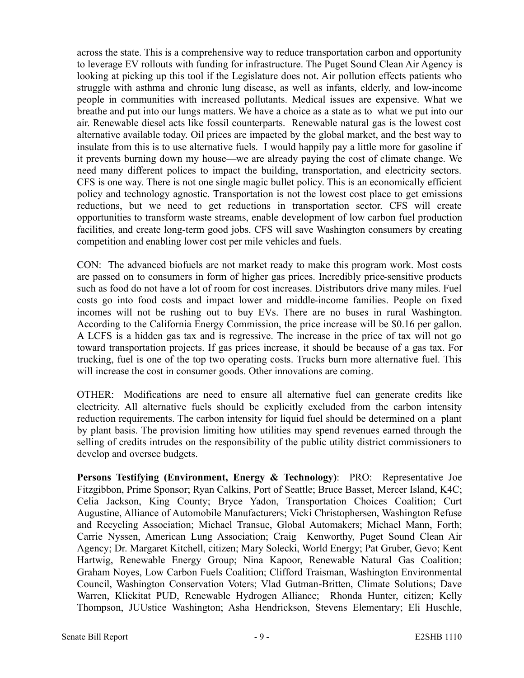across the state. This is a comprehensive way to reduce transportation carbon and opportunity to leverage EV rollouts with funding for infrastructure. The Puget Sound Clean Air Agency is looking at picking up this tool if the Legislature does not. Air pollution effects patients who struggle with asthma and chronic lung disease, as well as infants, elderly, and low-income people in communities with increased pollutants. Medical issues are expensive. What we breathe and put into our lungs matters. We have a choice as a state as to what we put into our air. Renewable diesel acts like fossil counterparts. Renewable natural gas is the lowest cost alternative available today. Oil prices are impacted by the global market, and the best way to insulate from this is to use alternative fuels. I would happily pay a little more for gasoline if it prevents burning down my house—we are already paying the cost of climate change. We need many different polices to impact the building, transportation, and electricity sectors. CFS is one way. There is not one single magic bullet policy. This is an economically efficient policy and technology agnostic. Transportation is not the lowest cost place to get emissions reductions, but we need to get reductions in transportation sector. CFS will create opportunities to transform waste streams, enable development of low carbon fuel production facilities, and create long-term good jobs. CFS will save Washington consumers by creating competition and enabling lower cost per mile vehicles and fuels.

CON: The advanced biofuels are not market ready to make this program work. Most costs are passed on to consumers in form of higher gas prices. Incredibly price-sensitive products such as food do not have a lot of room for cost increases. Distributors drive many miles. Fuel costs go into food costs and impact lower and middle-income families. People on fixed incomes will not be rushing out to buy EVs. There are no buses in rural Washington. According to the California Energy Commission, the price increase will be \$0.16 per gallon. A LCFS is a hidden gas tax and is regressive. The increase in the price of tax will not go toward transportation projects. If gas prices increase, it should be because of a gas tax. For trucking, fuel is one of the top two operating costs. Trucks burn more alternative fuel. This will increase the cost in consumer goods. Other innovations are coming.

OTHER: Modifications are need to ensure all alternative fuel can generate credits like electricity. All alternative fuels should be explicitly excluded from the carbon intensity reduction requirements. The carbon intensity for liquid fuel should be determined on a plant by plant basis. The provision limiting how utilities may spend revenues earned through the selling of credits intrudes on the responsibility of the public utility district commissioners to develop and oversee budgets.

**Persons Testifying (Environment, Energy & Technology)**: PRO: Representative Joe Fitzgibbon, Prime Sponsor; Ryan Calkins, Port of Seattle; Bruce Basset, Mercer Island, K4C; Celia Jackson, King County; Bryce Yadon, Transportation Choices Coalition; Curt Augustine, Alliance of Automobile Manufacturers; Vicki Christophersen, Washington Refuse and Recycling Association; Michael Transue, Global Automakers; Michael Mann, Forth; Carrie Nyssen, American Lung Association; Craig Kenworthy, Puget Sound Clean Air Agency; Dr. Margaret Kitchell, citizen; Mary Solecki, World Energy; Pat Gruber, Gevo; Kent Hartwig, Renewable Energy Group; Nina Kapoor, Renewable Natural Gas Coalition; Graham Noyes, Low Carbon Fuels Coalition; Clifford Traisman, Washington Environmental Council, Washington Conservation Voters; Vlad Gutman-Britten, Climate Solutions; Dave Warren, Klickitat PUD, Renewable Hydrogen Alliance; Rhonda Hunter, citizen; Kelly Thompson, JUUstice Washington; Asha Hendrickson, Stevens Elementary; Eli Huschle,